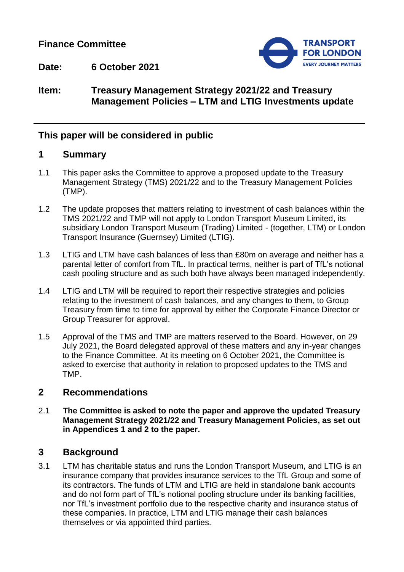## **Finance Committee**



**Date: 6 October 2021**

## **Item: Treasury Management Strategy 2021/22 and Treasury Management Policies – LTM and LTIG Investments update**

## **This paper will be considered in public**

### **1 Summary**

- 1.1 This paper asks the Committee to approve a proposed update to the Treasury Management Strategy (TMS) 2021/22 and to the Treasury Management Policies (TMP).
- 1.2 The update proposes that matters relating to investment of cash balances within the TMS 2021/22 and TMP will not apply to London Transport Museum Limited, its subsidiary London Transport Museum (Trading) Limited - (together, LTM) or London Transport Insurance (Guernsey) Limited (LTIG).
- 1.3 LTIG and LTM have cash balances of less than £80m on average and neither has a parental letter of comfort from TfL. In practical terms, neither is part of TfL's notional cash pooling structure and as such both have always been managed independently.
- 1.4 LTIG and LTM will be required to report their respective strategies and policies relating to the investment of cash balances, and any changes to them, to Group Treasury from time to time for approval by either the Corporate Finance Director or Group Treasurer for approval.
- 1.5 Approval of the TMS and TMP are matters reserved to the Board. However, on 29 July 2021, the Board delegated approval of these matters and any in-year changes to the Finance Committee. At its meeting on 6 October 2021, the Committee is asked to exercise that authority in relation to proposed updates to the TMS and TMP.

## **2 Recommendations**

2.1 **The Committee is asked to note the paper and approve the updated Treasury Management Strategy 2021/22 and Treasury Management Policies, as set out in Appendices 1 and 2 to the paper.**

## **3 Background**

3.1 LTM has charitable status and runs the London Transport Museum, and LTIG is an insurance company that provides insurance services to the TfL Group and some of its contractors. The funds of LTM and LTIG are held in standalone bank accounts and do not form part of TfL's notional pooling structure under its banking facilities, nor TfL's investment portfolio due to the respective charity and insurance status of these companies. In practice, LTM and LTIG manage their cash balances themselves or via appointed third parties.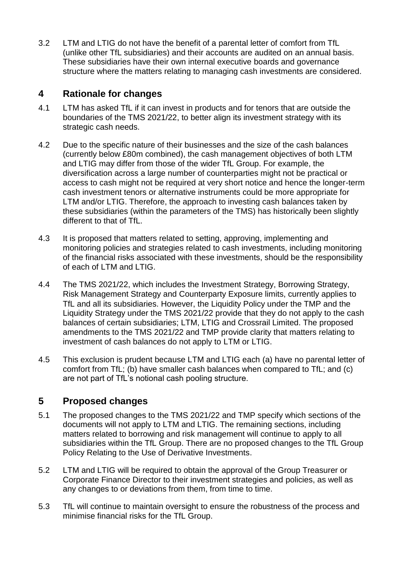3.2 LTM and LTIG do not have the benefit of a parental letter of comfort from TfL (unlike other TfL subsidiaries) and their accounts are audited on an annual basis. These subsidiaries have their own internal executive boards and governance structure where the matters relating to managing cash investments are considered.

# **4 Rationale for changes**

- 4.1 LTM has asked TfL if it can invest in products and for tenors that are outside the boundaries of the TMS 2021/22, to better align its investment strategy with its strategic cash needs.
- 4.2 Due to the specific nature of their businesses and the size of the cash balances (currently below £80m combined), the cash management objectives of both LTM and LTIG may differ from those of the wider TfL Group. For example, the diversification across a large number of counterparties might not be practical or access to cash might not be required at very short notice and hence the longer-term cash investment tenors or alternative instruments could be more appropriate for LTM and/or LTIG. Therefore, the approach to investing cash balances taken by these subsidiaries (within the parameters of the TMS) has historically been slightly different to that of TfL.
- 4.3 It is proposed that matters related to setting, approving, implementing and monitoring policies and strategies related to cash investments, including monitoring of the financial risks associated with these investments, should be the responsibility of each of LTM and LTIG.
- 4.4 The TMS 2021/22, which includes the Investment Strategy, Borrowing Strategy, Risk Management Strategy and Counterparty Exposure limits, currently applies to TfL and all its subsidiaries. However, the Liquidity Policy under the TMP and the Liquidity Strategy under the TMS 2021/22 provide that they do not apply to the cash balances of certain subsidiaries; LTM, LTIG and Crossrail Limited. The proposed amendments to the TMS 2021/22 and TMP provide clarity that matters relating to investment of cash balances do not apply to LTM or LTIG.
- 4.5 This exclusion is prudent because LTM and LTIG each (a) have no parental letter of comfort from TfL; (b) have smaller cash balances when compared to TfL; and (c) are not part of TfL's notional cash pooling structure.

# **5 Proposed changes**

- 5.1 The proposed changes to the TMS 2021/22 and TMP specify which sections of the documents will not apply to LTM and LTIG. The remaining sections, including matters related to borrowing and risk management will continue to apply to all subsidiaries within the TfL Group. There are no proposed changes to the TfL Group Policy Relating to the Use of Derivative Investments.
- 5.2 LTM and LTIG will be required to obtain the approval of the Group Treasurer or Corporate Finance Director to their investment strategies and policies, as well as any changes to or deviations from them, from time to time.
- 5.3 TfL will continue to maintain oversight to ensure the robustness of the process and minimise financial risks for the TfL Group.